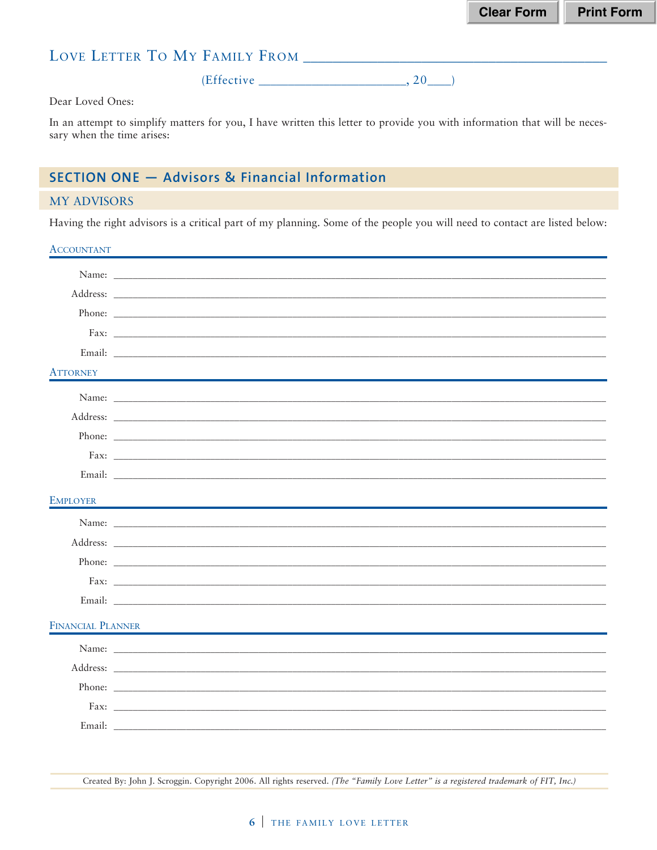## LOVE LETTER TO MY FAMILY FROM \_\_\_\_\_\_\_\_\_\_

 $(Effective _______2, 20]$ 

Dear Loved Ones:

In an attempt to simplify matters for you, I have written this letter to provide you with information that will be necessary when the time arises:

## **SECTION ONE - Advisors & Financial Information**

#### **MY ADVISORS**

Having the right advisors is a critical part of my planning. Some of the people you will need to contact are listed below:

#### **ACCOUNTANT**

|                   | Name:                                                                                                                                                                                                                               |
|-------------------|-------------------------------------------------------------------------------------------------------------------------------------------------------------------------------------------------------------------------------------|
|                   |                                                                                                                                                                                                                                     |
|                   |                                                                                                                                                                                                                                     |
|                   |                                                                                                                                                                                                                                     |
|                   |                                                                                                                                                                                                                                     |
| <b>ATTORNEY</b>   |                                                                                                                                                                                                                                     |
|                   |                                                                                                                                                                                                                                     |
|                   | Address: <u>Address:</u> Address: Address: Address: Address: Address: Address: Address: Address: Address: Address: Address: Address: Address: Address: Address: Address: Address: Address: Address: Address: Address: Address: Addr |
|                   |                                                                                                                                                                                                                                     |
|                   |                                                                                                                                                                                                                                     |
|                   |                                                                                                                                                                                                                                     |
| <b>EMPLOYER</b>   |                                                                                                                                                                                                                                     |
|                   |                                                                                                                                                                                                                                     |
|                   |                                                                                                                                                                                                                                     |
|                   |                                                                                                                                                                                                                                     |
|                   |                                                                                                                                                                                                                                     |
|                   |                                                                                                                                                                                                                                     |
|                   |                                                                                                                                                                                                                                     |
| FINANCIAL PLANNER |                                                                                                                                                                                                                                     |
|                   |                                                                                                                                                                                                                                     |
|                   |                                                                                                                                                                                                                                     |
|                   |                                                                                                                                                                                                                                     |
|                   |                                                                                                                                                                                                                                     |
|                   |                                                                                                                                                                                                                                     |

Created By: John J. Scroggin. Copyright 2006. All rights reserved. (The "Family Love Letter" is a registered trademark of FIT, Inc.)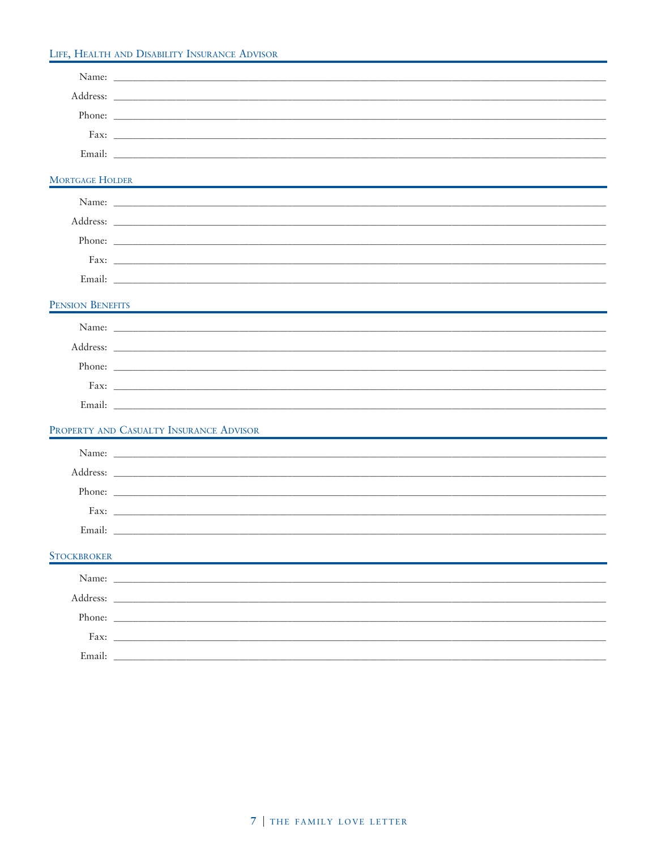#### LIFE, HEALTH AND DISABILITY INSURANCE ADVISOR

| <b>MORTGAGE HOLDER</b> |                                                                                                                                                                                                                                      |
|------------------------|--------------------------------------------------------------------------------------------------------------------------------------------------------------------------------------------------------------------------------------|
|                        |                                                                                                                                                                                                                                      |
|                        | Address: <u>Address:</u> Address: 2007                                                                                                                                                                                               |
|                        |                                                                                                                                                                                                                                      |
|                        |                                                                                                                                                                                                                                      |
|                        |                                                                                                                                                                                                                                      |
| PENSION BENEFITS       |                                                                                                                                                                                                                                      |
|                        |                                                                                                                                                                                                                                      |
|                        | Address: <u>and the contract of the contract of the contract of the contract of the contract of the contract of the contract of the contract of the contract of the contract of the contract of the contract of the contract of </u> |
|                        | Phone:                                                                                                                                                                                                                               |
|                        |                                                                                                                                                                                                                                      |
|                        |                                                                                                                                                                                                                                      |
|                        | PROPERTY AND CASUALTY INSURANCE ADVISOR                                                                                                                                                                                              |
|                        |                                                                                                                                                                                                                                      |
|                        |                                                                                                                                                                                                                                      |
|                        |                                                                                                                                                                                                                                      |
|                        |                                                                                                                                                                                                                                      |
|                        |                                                                                                                                                                                                                                      |
| <b>STOCKBROKER</b>     |                                                                                                                                                                                                                                      |
|                        |                                                                                                                                                                                                                                      |
|                        |                                                                                                                                                                                                                                      |
|                        | Phone:                                                                                                                                                                                                                               |
|                        |                                                                                                                                                                                                                                      |
|                        | Email: Latin Communication of the Communication of the Communication of the Communication of the Communication of the Communication of the Communication of the Communication of the Communication of the Communication of the       |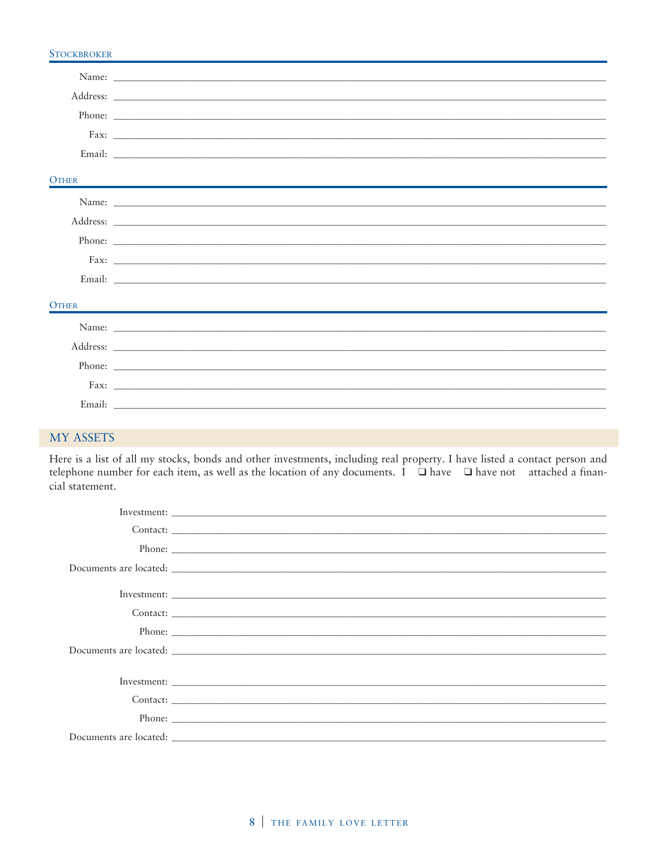## **STOCKBROKER** Name: Address: \_ Phone: Fax: \_ Email: **OTHER** Name: \_ Address: \_ Phone: Fax:  $\overline{\phantom{a}}$ Email: **OTHER** Name: \_ Address: Phone:  $\overline{\phantom{a}}$ Fax: Email:

#### **MY ASSETS**

Here is a list of all my stocks, bonds and other investments, including real property. I have listed a contact person and telephone number for each item, as well as the location of any documents. I □ have □ have not attached a financial statement.

| Contact: |  |  |
|----------|--|--|
|          |  |  |
|          |  |  |
|          |  |  |
|          |  |  |
|          |  |  |
|          |  |  |
|          |  |  |
|          |  |  |
|          |  |  |
|          |  |  |
|          |  |  |
|          |  |  |
|          |  |  |
|          |  |  |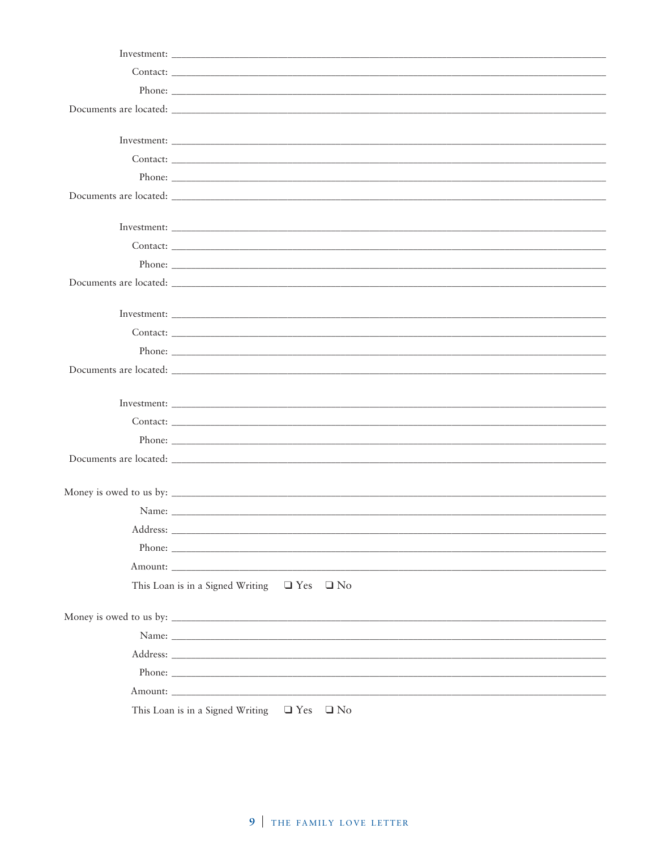| Contact:                                                                                                                                                                                                                             |
|--------------------------------------------------------------------------------------------------------------------------------------------------------------------------------------------------------------------------------------|
|                                                                                                                                                                                                                                      |
|                                                                                                                                                                                                                                      |
|                                                                                                                                                                                                                                      |
|                                                                                                                                                                                                                                      |
| Name:                                                                                                                                                                                                                                |
| Address:                                                                                                                                                                                                                             |
|                                                                                                                                                                                                                                      |
|                                                                                                                                                                                                                                      |
| This Loan is in a Signed Writing $\Box$ Yes $\Box$ No                                                                                                                                                                                |
|                                                                                                                                                                                                                                      |
|                                                                                                                                                                                                                                      |
| Address: the contract of the contract of the contract of the contract of the contract of the contract of the contract of the contract of the contract of the contract of the contract of the contract of the contract of the c       |
| Phone:                                                                                                                                                                                                                               |
| Amount: <u>Amount</u> : Amount: Amount: Amount: Amount: Amount: Amount: Amount: Amount: Amount: Amount: Amount: Amount: Amount: Amount: Amount: Amount: Amount: Amount: Amount: Amount: Amount: Amount: Amount: Amount: Amount: Amou |
| This Loan is in a Signed Writing $\Box$ Yes $\Box$ No                                                                                                                                                                                |
|                                                                                                                                                                                                                                      |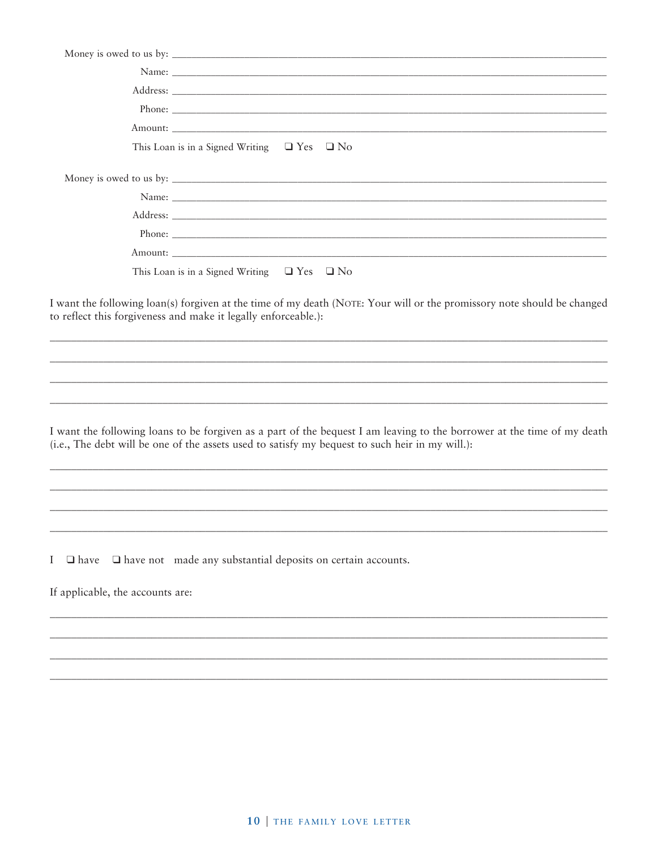|                                  | This Loan is in a Signed Writing $\Box$ Yes $\Box$ No                                                                                                                                                                      |
|----------------------------------|----------------------------------------------------------------------------------------------------------------------------------------------------------------------------------------------------------------------------|
|                                  |                                                                                                                                                                                                                            |
|                                  |                                                                                                                                                                                                                            |
|                                  |                                                                                                                                                                                                                            |
|                                  |                                                                                                                                                                                                                            |
|                                  |                                                                                                                                                                                                                            |
|                                  | This Loan is in a Signed Writing $\Box$ Yes $\Box$ No                                                                                                                                                                      |
|                                  |                                                                                                                                                                                                                            |
|                                  | I want the following loan(s) forgiven at the time of my death (NOTE: Your will or the promissory note should be changed<br>to reflect this forgiveness and make it legally enforceable.):                                  |
|                                  |                                                                                                                                                                                                                            |
|                                  |                                                                                                                                                                                                                            |
|                                  |                                                                                                                                                                                                                            |
|                                  |                                                                                                                                                                                                                            |
|                                  | I want the following loans to be forgiven as a part of the bequest I am leaving to the borrower at the time of my death<br>(i.e., The debt will be one of the assets used to satisfy my bequest to such heir in my will.): |
|                                  |                                                                                                                                                                                                                            |
|                                  |                                                                                                                                                                                                                            |
|                                  |                                                                                                                                                                                                                            |
|                                  |                                                                                                                                                                                                                            |
| $I \square$ have                 | $\square$ have not made any substantial deposits on certain accounts.                                                                                                                                                      |
| If applicable, the accounts are: |                                                                                                                                                                                                                            |
|                                  |                                                                                                                                                                                                                            |
|                                  |                                                                                                                                                                                                                            |
|                                  |                                                                                                                                                                                                                            |
|                                  |                                                                                                                                                                                                                            |
|                                  |                                                                                                                                                                                                                            |
|                                  |                                                                                                                                                                                                                            |
|                                  |                                                                                                                                                                                                                            |
|                                  |                                                                                                                                                                                                                            |
|                                  |                                                                                                                                                                                                                            |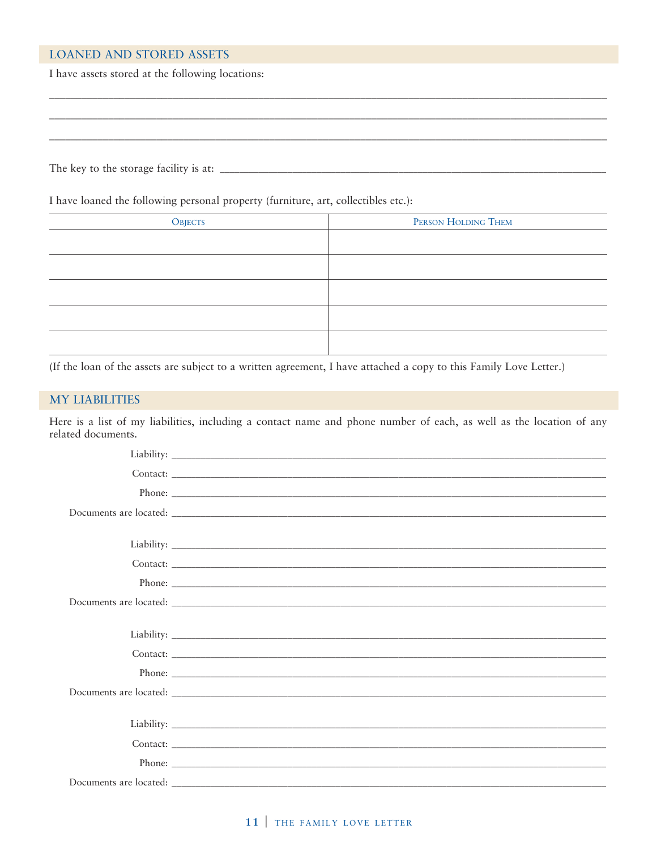#### **LOANED AND STORED ASSETS**

I have assets stored at the following locations:

The key to the storage facility is at:

I have loaned the following personal property (furniture, art, collectibles etc.):

| <b>OBJECTS</b> | PERSON HOLDING THEM |
|----------------|---------------------|
|                |                     |
|                |                     |
|                |                     |
|                |                     |
|                |                     |
|                |                     |
|                |                     |

(If the loan of the assets are subject to a written agreement, I have attached a copy to this Family Love Letter.)

#### **MY LIABILITIES**

Here is a list of my liabilities, including a contact name and phone number of each, as well as the location of any related documents.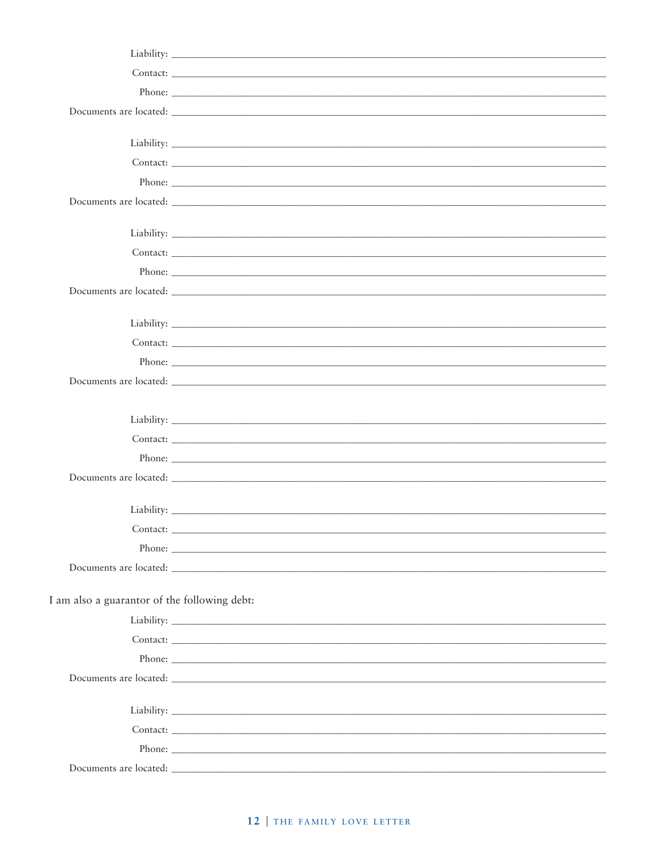| Contact:                                     |  |
|----------------------------------------------|--|
|                                              |  |
|                                              |  |
|                                              |  |
| I am also a guarantor of the following debt: |  |
|                                              |  |
|                                              |  |
|                                              |  |
|                                              |  |
|                                              |  |
|                                              |  |
|                                              |  |
|                                              |  |
| Documents are located:                       |  |

## 12 | THE FAMILY LOVE LETTER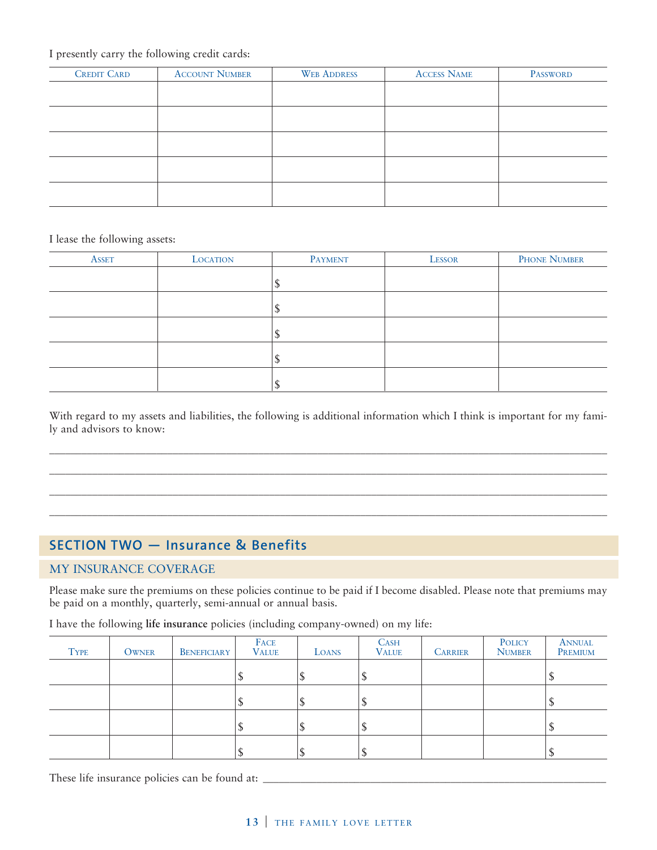#### I presently carry the following credit cards:

| <b>CREDIT CARD</b> | <b>ACCOUNT NUMBER</b> | <b>WEB ADDRESS</b> | <b>ACCESS NAME</b> | <b>PASSWORD</b> |
|--------------------|-----------------------|--------------------|--------------------|-----------------|
|                    |                       |                    |                    |                 |
|                    |                       |                    |                    |                 |
|                    |                       |                    |                    |                 |
|                    |                       |                    |                    |                 |
|                    |                       |                    |                    |                 |
|                    |                       |                    |                    |                 |
|                    |                       |                    |                    |                 |

I lease the following assets:

| <b>ASSET</b> | <b>LOCATION</b> | <b>PAYMENT</b> | LESSOR | PHONE NUMBER |
|--------------|-----------------|----------------|--------|--------------|
|              |                 |                |        |              |
|              |                 | N              |        |              |
|              |                 |                |        |              |
|              |                 | N              |        |              |
|              |                 |                |        |              |

With regard to my assets and liabilities, the following is additional information which I think is important for my family and advisors to know:

\_\_\_\_\_\_\_\_\_\_\_\_\_\_\_\_\_\_\_\_\_\_\_\_\_\_\_\_\_\_\_\_\_\_\_\_\_\_\_\_\_\_\_\_\_\_\_\_\_\_\_\_\_\_\_\_\_\_\_\_\_\_\_\_\_\_\_\_\_\_\_\_\_\_\_\_\_\_\_\_\_\_\_\_\_\_\_\_\_\_\_\_\_\_\_\_\_\_\_\_\_\_\_\_ \_\_\_\_\_\_\_\_\_\_\_\_\_\_\_\_\_\_\_\_\_\_\_\_\_\_\_\_\_\_\_\_\_\_\_\_\_\_\_\_\_\_\_\_\_\_\_\_\_\_\_\_\_\_\_\_\_\_\_\_\_\_\_\_\_\_\_\_\_\_\_\_\_\_\_\_\_\_\_\_\_\_\_\_\_\_\_\_\_\_\_\_\_\_\_\_\_\_\_\_\_\_\_\_ \_\_\_\_\_\_\_\_\_\_\_\_\_\_\_\_\_\_\_\_\_\_\_\_\_\_\_\_\_\_\_\_\_\_\_\_\_\_\_\_\_\_\_\_\_\_\_\_\_\_\_\_\_\_\_\_\_\_\_\_\_\_\_\_\_\_\_\_\_\_\_\_\_\_\_\_\_\_\_\_\_\_\_\_\_\_\_\_\_\_\_\_\_\_\_\_\_\_\_\_\_\_\_\_ \_\_\_\_\_\_\_\_\_\_\_\_\_\_\_\_\_\_\_\_\_\_\_\_\_\_\_\_\_\_\_\_\_\_\_\_\_\_\_\_\_\_\_\_\_\_\_\_\_\_\_\_\_\_\_\_\_\_\_\_\_\_\_\_\_\_\_\_\_\_\_\_\_\_\_\_\_\_\_\_\_\_\_\_\_\_\_\_\_\_\_\_\_\_\_\_\_\_\_\_\_\_\_\_

## **SECTION TWO — Insurance & Benefits**

#### MY INSURANCE COVERAGE

Please make sure the premiums on these policies continue to be paid if I become disabled. Please note that premiums may be paid on a monthly, quarterly, semi-annual or annual basis.

| I have the following life insurance policies (including company-owned) on my life: |  |  |  |
|------------------------------------------------------------------------------------|--|--|--|
|------------------------------------------------------------------------------------|--|--|--|

| <b>TYPE</b> | <b>OWNER</b> | <b>BENEFICIARY</b> | FACE<br><b>VALUE</b> | LOANS | <b>CASH</b><br><b>VALUE</b> | <b>CARRIER</b> | POLICY<br><b>NUMBER</b> | ANNUAL<br>PREMIUM |
|-------------|--------------|--------------------|----------------------|-------|-----------------------------|----------------|-------------------------|-------------------|
|             |              |                    |                      |       |                             |                |                         |                   |
|             |              |                    |                      |       |                             |                |                         |                   |
|             |              |                    |                      |       |                             |                |                         |                   |
|             |              |                    |                      |       |                             |                |                         |                   |

These life insurance policies can be found at: \_\_\_\_\_\_\_\_\_\_\_\_\_\_\_\_\_\_\_\_\_\_\_\_\_\_\_\_\_\_\_\_\_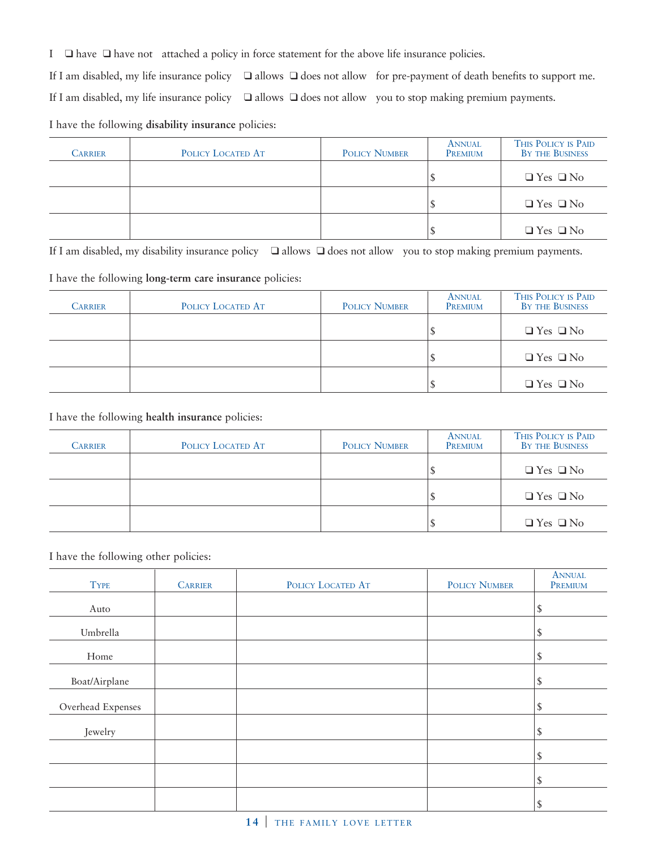I ❑ have ❑ have not attached a policy in force statement for the above life insurance policies.

If I am disabled, my life insurance policy ❑ allows ❑ does not allow for pre-payment of death benefits to support me.

If I am disabled, my life insurance policy ❑ allows ❑ does not allow you to stop making premium payments.

I have the following **disability insurance** policies:

| CARRIER | POLICY LOCATED AT | <b>POLICY NUMBER</b> | ANNUAL<br>PREMIUM | THIS POLICY IS PAID<br>BY THE BUSINESS |
|---------|-------------------|----------------------|-------------------|----------------------------------------|
|         |                   |                      |                   | $\Box$ Yes $\Box$ No                   |
|         |                   |                      |                   | $\Box$ Yes $\Box$ No                   |
|         |                   |                      |                   | $\Box$ Yes $\Box$ No                   |

If I am disabled, my disability insurance policy ❑ allows ❑ does not allow you to stop making premium payments.

I have the following **long-term care insurance** policies:

| Carrier | POLICY LOCATED AT | <b>POLICY NUMBER</b> | ANNUAL<br>PREMIUM | THIS POLICY IS PAID<br>BY THE BUSINESS |
|---------|-------------------|----------------------|-------------------|----------------------------------------|
|         |                   |                      |                   | $\Box$ Yes $\Box$ No                   |
|         |                   |                      |                   | $\Box$ Yes $\Box$ No                   |
|         |                   |                      |                   | $\Box$ Yes $\Box$ No                   |

I have the following **health insurance** policies:

| Carrier | POLICY LOCATED AT | <b>POLICY NUMBER</b> | ANNUAL<br>PREMIUM | THIS POLICY IS PAID<br>BY THE BUSINESS |
|---------|-------------------|----------------------|-------------------|----------------------------------------|
|         |                   |                      |                   | $\Box$ Yes $\Box$ No                   |
|         |                   |                      |                   | $\Box$ Yes $\Box$ No                   |
|         |                   |                      |                   | $\Box$ Yes $\Box$ No                   |

I have the following other policies:

| <b>TYPE</b>       | <b>CARRIER</b> | POLICY LOCATED AT | <b>POLICY NUMBER</b> | <b>ANNUAL</b><br>PREMIUM |
|-------------------|----------------|-------------------|----------------------|--------------------------|
| Auto              |                |                   |                      | \$                       |
| Umbrella          |                |                   |                      | \$                       |
| Home              |                |                   |                      | \$                       |
| Boat/Airplane     |                |                   |                      | $\mathcal{S}$            |
| Overhead Expenses |                |                   |                      | \$                       |
| Jewelry           |                |                   |                      | \$                       |
|                   |                |                   |                      | \$                       |
|                   |                |                   |                      | \$                       |
|                   |                |                   |                      |                          |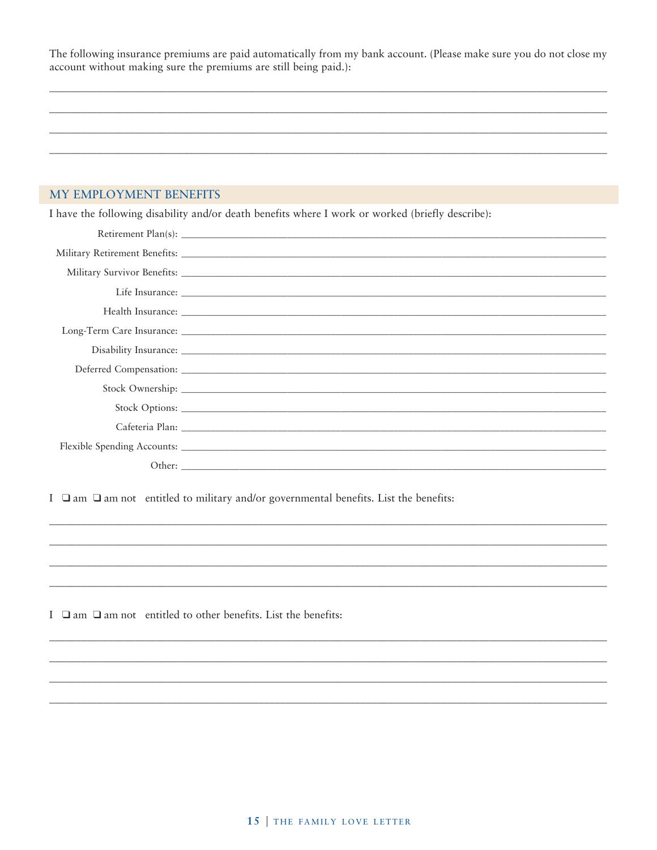The following insurance premiums are paid automatically from my bank account. (Please make sure you do not close my account without making sure the premiums are still being paid.):

#### MY EMPLOYMENT BENEFITS

I have the following disability and/or death benefits where I work or worked (briefly describe):

| Other: |  |
|--------|--|

I  $\Box$  am  $\Box$  am not entitled to military and/or governmental benefits. List the benefits:

I  $\Box$  am  $\Box$  am not entitled to other benefits. List the benefits: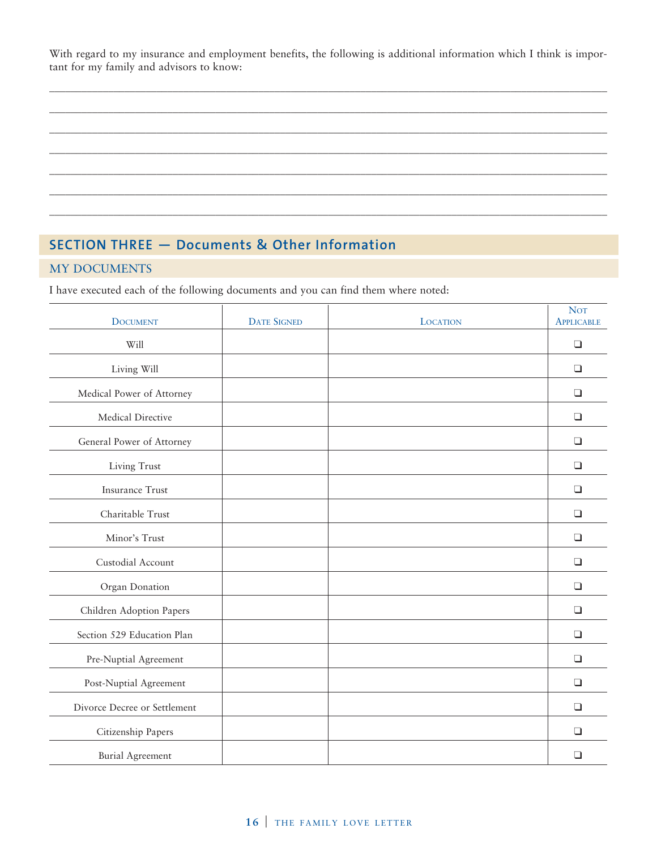With regard to my insurance and employment benefits, the following is additional information which I think is important for my family and advisors to know:

\_\_\_\_\_\_\_\_\_\_\_\_\_\_\_\_\_\_\_\_\_\_\_\_\_\_\_\_\_\_\_\_\_\_\_\_\_\_\_\_\_\_\_\_\_\_\_\_\_\_\_\_\_\_\_\_\_\_\_\_\_\_\_\_\_\_\_\_\_\_\_\_\_\_\_\_\_\_\_\_\_\_\_\_\_\_\_\_\_\_\_\_\_\_\_\_\_\_\_\_\_\_\_\_ \_\_\_\_\_\_\_\_\_\_\_\_\_\_\_\_\_\_\_\_\_\_\_\_\_\_\_\_\_\_\_\_\_\_\_\_\_\_\_\_\_\_\_\_\_\_\_\_\_\_\_\_\_\_\_\_\_\_\_\_\_\_\_\_\_\_\_\_\_\_\_\_\_\_\_\_\_\_\_\_\_\_\_\_\_\_\_\_\_\_\_\_\_\_\_\_\_\_\_\_\_\_\_\_ \_\_\_\_\_\_\_\_\_\_\_\_\_\_\_\_\_\_\_\_\_\_\_\_\_\_\_\_\_\_\_\_\_\_\_\_\_\_\_\_\_\_\_\_\_\_\_\_\_\_\_\_\_\_\_\_\_\_\_\_\_\_\_\_\_\_\_\_\_\_\_\_\_\_\_\_\_\_\_\_\_\_\_\_\_\_\_\_\_\_\_\_\_\_\_\_\_\_\_\_\_\_\_\_ \_\_\_\_\_\_\_\_\_\_\_\_\_\_\_\_\_\_\_\_\_\_\_\_\_\_\_\_\_\_\_\_\_\_\_\_\_\_\_\_\_\_\_\_\_\_\_\_\_\_\_\_\_\_\_\_\_\_\_\_\_\_\_\_\_\_\_\_\_\_\_\_\_\_\_\_\_\_\_\_\_\_\_\_\_\_\_\_\_\_\_\_\_\_\_\_\_\_\_\_\_\_\_\_ \_\_\_\_\_\_\_\_\_\_\_\_\_\_\_\_\_\_\_\_\_\_\_\_\_\_\_\_\_\_\_\_\_\_\_\_\_\_\_\_\_\_\_\_\_\_\_\_\_\_\_\_\_\_\_\_\_\_\_\_\_\_\_\_\_\_\_\_\_\_\_\_\_\_\_\_\_\_\_\_\_\_\_\_\_\_\_\_\_\_\_\_\_\_\_\_\_\_\_\_\_\_\_\_ \_\_\_\_\_\_\_\_\_\_\_\_\_\_\_\_\_\_\_\_\_\_\_\_\_\_\_\_\_\_\_\_\_\_\_\_\_\_\_\_\_\_\_\_\_\_\_\_\_\_\_\_\_\_\_\_\_\_\_\_\_\_\_\_\_\_\_\_\_\_\_\_\_\_\_\_\_\_\_\_\_\_\_\_\_\_\_\_\_\_\_\_\_\_\_\_\_\_\_\_\_\_\_\_ \_\_\_\_\_\_\_\_\_\_\_\_\_\_\_\_\_\_\_\_\_\_\_\_\_\_\_\_\_\_\_\_\_\_\_\_\_\_\_\_\_\_\_\_\_\_\_\_\_\_\_\_\_\_\_\_\_\_\_\_\_\_\_\_\_\_\_\_\_\_\_\_\_\_\_\_\_\_\_\_\_\_\_\_\_\_\_\_\_\_\_\_\_\_\_\_\_\_\_\_\_\_\_\_

## **SECTION THREE — Documents & Other Information**

#### MY DOCUMENTS

I have executed each of the following documents and you can find them where noted:

| <b>DOCUMENT</b>              | <b>DATE SIGNED</b> | <b>LOCATION</b> | <b>NOT</b><br><b>APPLICABLE</b> |
|------------------------------|--------------------|-----------------|---------------------------------|
| Will                         |                    |                 | $\Box$                          |
| Living Will                  |                    |                 | $\Box$                          |
| Medical Power of Attorney    |                    |                 | $\Box$                          |
| Medical Directive            |                    |                 | $\Box$                          |
| General Power of Attorney    |                    |                 | $\Box$                          |
| Living Trust                 |                    |                 | $\Box$                          |
| <b>Insurance Trust</b>       |                    |                 | $\Box$                          |
| Charitable Trust             |                    |                 | $\Box$                          |
| Minor's Trust                |                    |                 | $\Box$                          |
| Custodial Account            |                    |                 | $\Box$                          |
| Organ Donation               |                    |                 | $\Box$                          |
| Children Adoption Papers     |                    |                 | $\Box$                          |
| Section 529 Education Plan   |                    |                 | $\Box$                          |
| Pre-Nuptial Agreement        |                    |                 | $\Box$                          |
| Post-Nuptial Agreement       |                    |                 | $\Box$                          |
| Divorce Decree or Settlement |                    |                 | $\Box$                          |
| Citizenship Papers           |                    |                 | $\Box$                          |
| <b>Burial Agreement</b>      |                    |                 | $\Box$                          |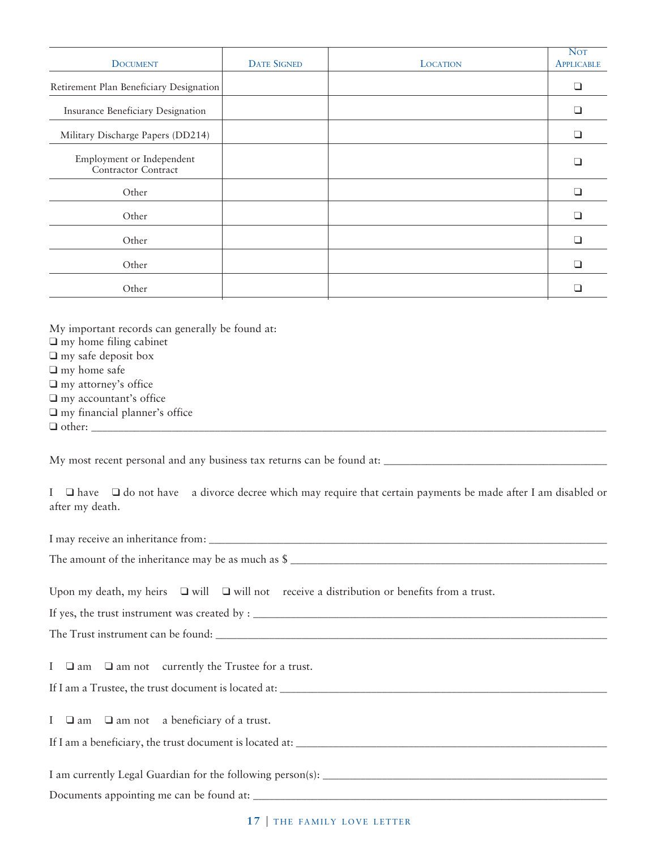| <b>DOCUMENT</b>                                  | <b>DATE SIGNED</b> | <b>LOCATION</b> | <b>NOT</b><br><b>APPLICABLE</b> |
|--------------------------------------------------|--------------------|-----------------|---------------------------------|
| Retirement Plan Beneficiary Designation          |                    |                 | ∩                               |
| Insurance Beneficiary Designation                |                    |                 |                                 |
| Military Discharge Papers (DD214)                |                    |                 |                                 |
| Employment or Independent<br>Contractor Contract |                    |                 |                                 |
| Other                                            |                    |                 |                                 |
| Other                                            |                    |                 |                                 |
| Other                                            |                    |                 |                                 |
| Other                                            |                    |                 |                                 |
| Other                                            |                    |                 |                                 |
|                                                  |                    |                 |                                 |

My important records can generally be found at: ❑ my home filing cabinet ❑ my safe deposit box ❑ my home safe

- ❑ my attorney's office
- ❑ my accountant's office
- ❑ my financial planner's office

 $\Box$  other:

My most recent personal and any business tax returns can be found at: \_\_\_\_\_\_\_\_\_\_\_\_\_\_\_\_\_\_\_\_\_\_\_\_\_\_\_\_\_\_\_\_\_\_\_\_\_\_\_\_\_\_

I  $\Box$  have  $\Box$  do not have a divorce decree which may require that certain payments be made after I am disabled or after my death.

I may receive an inheritance from:

The amount of the inheritance may be as much as \$ \_\_\_\_\_\_\_\_\_\_\_\_\_\_\_\_\_\_\_\_\_\_\_\_\_\_\_\_\_\_

Upon my death, my heirs  $\Box$  will  $\Box$  will not receive a distribution or benefits from a trust.

If yes, the trust instrument was created by : \_\_\_\_\_\_\_\_\_\_\_\_\_\_\_\_\_\_\_\_\_\_\_\_\_\_\_\_\_\_\_\_\_\_\_\_\_\_\_\_\_\_\_\_\_\_\_\_\_\_\_\_\_\_\_\_\_\_\_\_\_\_\_\_\_\_ The Trust instrument can be found: \_\_\_\_\_\_\_\_\_\_\_\_\_\_\_\_\_\_\_\_\_\_\_\_\_\_\_\_\_\_\_\_\_\_\_\_\_\_\_\_\_\_\_\_\_\_\_\_\_\_\_\_\_\_\_\_\_\_\_\_\_\_\_\_\_\_\_\_\_\_\_\_\_

I ❑ am ❑ am not currently the Trustee for a trust.

If I am a Trustee, the trust document is located at: \_\_\_\_\_\_\_\_\_\_\_\_\_\_\_\_\_\_\_\_\_\_\_\_\_\_\_

I ❑ am ❑ am not a beneficiary of a trust.

If I am a beneficiary, the trust document is located at: \_\_\_\_\_\_\_\_\_\_\_\_\_\_\_\_\_\_\_\_\_\_\_\_\_\_\_\_\_\_\_\_\_\_\_\_\_\_\_\_\_\_\_\_\_\_\_\_\_\_\_\_\_\_\_\_\_\_

I am currently Legal Guardian for the following person(s): \_\_\_\_\_\_\_\_\_\_\_\_\_\_\_\_\_\_\_\_\_\_\_\_\_\_\_\_\_\_\_\_\_\_\_\_\_\_\_\_\_\_\_\_\_\_\_\_\_\_\_\_\_

Documents appointing me can be found at: \_\_\_\_\_\_\_\_\_\_\_\_\_\_\_\_\_\_\_\_\_\_\_\_\_\_\_\_\_\_\_\_\_\_\_\_\_\_\_\_\_\_\_\_\_\_\_\_\_\_\_\_\_\_\_\_\_\_\_\_\_\_\_\_\_\_

17 | THE FAMILY LOVE LETTER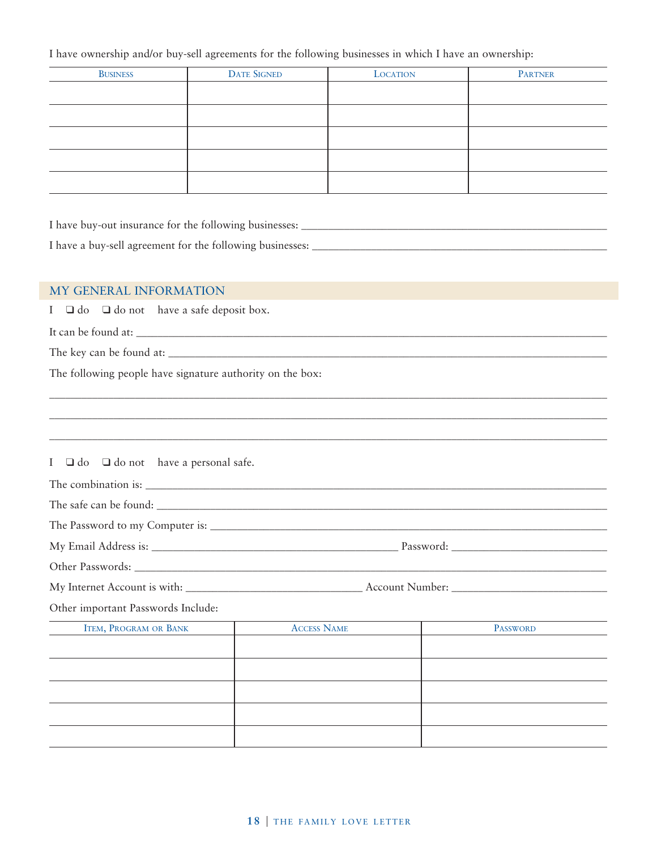I have ownership and/or buy-sell agreements for the following businesses in which I have an ownership:

| <b>BUSINESS</b> | <b>DATE SIGNED</b> | <b>LOCATION</b> | PARTNER |
|-----------------|--------------------|-----------------|---------|
|                 |                    |                 |         |
|                 |                    |                 |         |
|                 |                    |                 |         |
|                 |                    |                 |         |
|                 |                    |                 |         |

| I have buy-out insurance for the following businesses:    |  |
|-----------------------------------------------------------|--|
| I have a buy-sell agreement for the following businesses: |  |

\_\_\_\_\_\_\_\_\_\_\_\_\_\_\_\_\_\_\_\_\_\_\_\_\_\_\_\_\_\_\_\_\_\_\_\_\_\_\_\_\_\_\_\_\_\_\_\_\_\_\_\_\_\_\_\_\_\_\_\_\_\_\_\_\_\_\_\_\_\_\_\_\_\_\_\_\_\_\_\_\_\_\_\_\_\_\_\_\_\_\_\_\_\_\_\_\_\_\_\_\_\_\_\_

#### MY GENERAL INFORMATION

I ❑ do ❑ do not have a safe deposit box.

It can be found at: \_\_\_\_\_\_\_\_\_\_\_\_\_\_\_\_\_\_\_\_\_\_\_\_\_\_\_\_\_\_\_\_\_\_\_\_\_\_\_\_\_\_\_\_\_\_\_\_\_\_\_\_\_\_\_\_\_\_\_\_\_\_\_\_\_\_\_\_\_\_\_\_\_\_\_\_\_\_\_\_\_\_\_\_\_\_\_\_

The key can be found at: \_\_\_\_\_\_\_\_\_\_\_\_\_\_\_\_\_\_\_\_\_\_\_\_\_\_\_\_\_\_\_\_\_\_\_\_\_\_\_\_\_\_\_\_\_\_\_\_\_\_\_\_\_\_\_\_\_\_\_\_\_\_\_\_\_\_\_\_\_\_\_\_\_\_\_\_\_\_\_\_\_\_

The following people have signature authority on the box:

| I $\Box$ do $\Box$ do not have a personal safe. |                    |                 |
|-------------------------------------------------|--------------------|-----------------|
|                                                 |                    |                 |
|                                                 |                    |                 |
|                                                 |                    |                 |
|                                                 |                    |                 |
|                                                 |                    |                 |
|                                                 |                    |                 |
| Other important Passwords Include:              |                    |                 |
| <b>ITEM, PROGRAM OR BANK</b>                    | <b>ACCESS NAME</b> | <b>PASSWORD</b> |
|                                                 |                    |                 |
|                                                 |                    |                 |
|                                                 |                    |                 |
|                                                 |                    |                 |
|                                                 |                    |                 |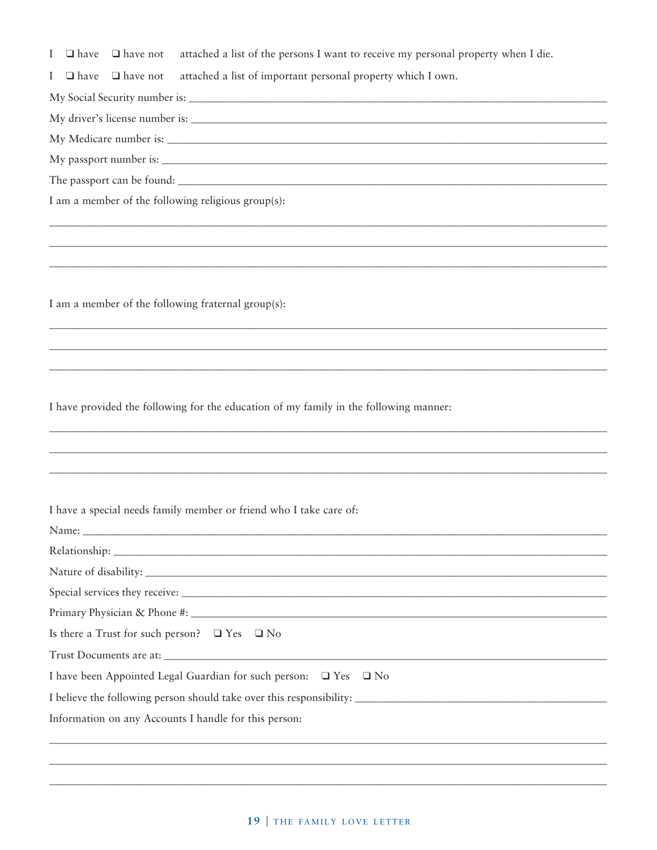$\Box$  have  $\Box$  have not attached a list of the persons I want to receive my personal property when I die.  $\bf{I}$ 

 $\mathbf I$  $\Box$  have  $\Box$  have not attached a list of important personal property which I own.

I am a member of the following religious group(s):

I am a member of the following fraternal group(s):

I have provided the following for the education of my family in the following manner:

| I have a special needs family member or friend who I take care of: |  |  |  |
|--------------------------------------------------------------------|--|--|--|
|--------------------------------------------------------------------|--|--|--|

| Is there a Trust for such person? $\Box$ Yes $\Box$ No                     |
|----------------------------------------------------------------------------|
| Trust Documents are at:                                                    |
| I have been Appointed Legal Guardian for such person: $\Box$ Yes $\Box$ No |
| I believe the following person should take over this responsibility:       |
| Information on any Accounts I handle for this person:                      |
|                                                                            |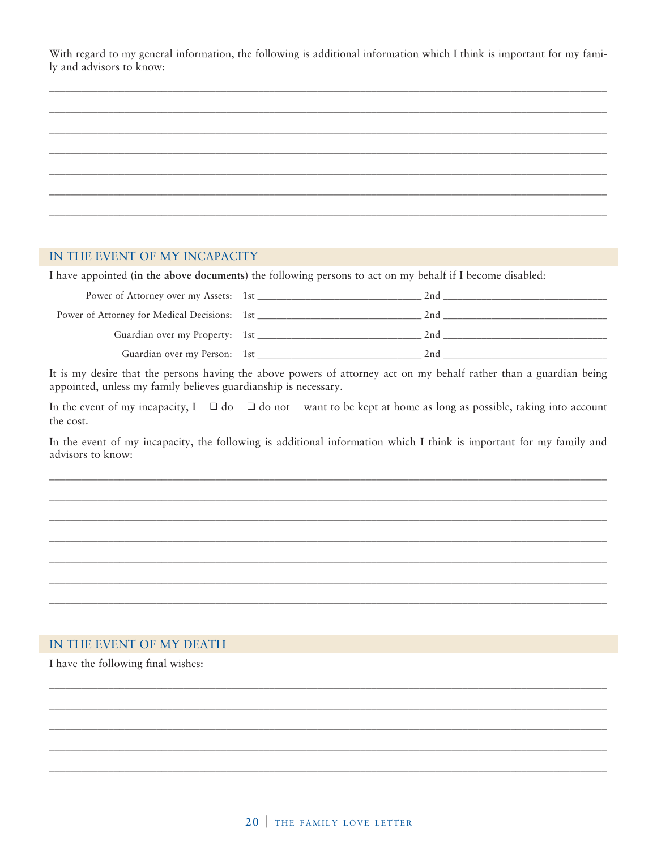With regard to my general information, the following is additional information which I think is important for my family and advisors to know:

#### IN THE EVENT OF MY INCAPACITY

I have appointed (in the above documents) the following persons to act on my behalf if I become disabled:

| Power of Attorney over my Assets: 1st                   | 2 <sub>nd</sub> |
|---------------------------------------------------------|-----------------|
| Power of Attorney for Medical Decisions: 1st __________ | 2.nd            |
|                                                         | 2.nd            |
| Guardian over my Person: 1st                            | 2nd             |

It is my desire that the persons having the above powers of attorney act on my behalf rather than a guardian being appointed, unless my family believes guardianship is necessary.

In the event of my incapacity,  $I \square do \square do$  not want to be kept at home as long as possible, taking into account the cost.

In the event of my incapacity, the following is additional information which I think is important for my family and advisors to know:

#### IN THE EVENT OF MY DEATH

I have the following final wishes: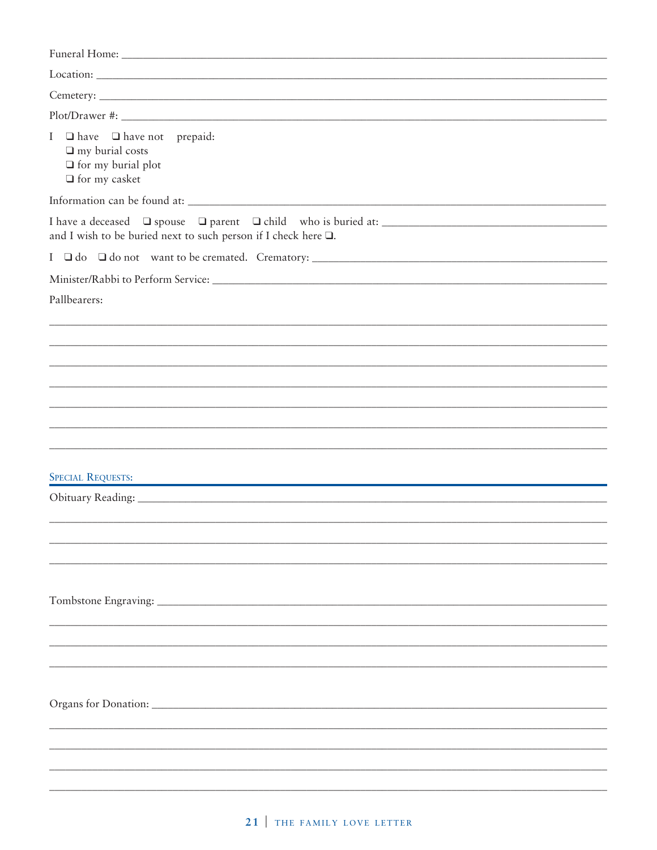| Funeral Home: Note and South Article of the Marian Community of the Marian Community of the Marian Community of the Marian Community of the Marian Community of the Marian Community of the Marian Community of the Marian Com |
|--------------------------------------------------------------------------------------------------------------------------------------------------------------------------------------------------------------------------------|
|                                                                                                                                                                                                                                |
|                                                                                                                                                                                                                                |
|                                                                                                                                                                                                                                |
| I <b>Q</b> have <b>Q</b> have not prepaid:<br>$\Box$ my burial costs<br>$\Box$ for my burial plot<br>$\Box$ for my casket                                                                                                      |
|                                                                                                                                                                                                                                |
| and I wish to be buried next to such person if I check here $\square$ .                                                                                                                                                        |
|                                                                                                                                                                                                                                |
|                                                                                                                                                                                                                                |
| Pallbearers:                                                                                                                                                                                                                   |
|                                                                                                                                                                                                                                |
|                                                                                                                                                                                                                                |
|                                                                                                                                                                                                                                |
|                                                                                                                                                                                                                                |
|                                                                                                                                                                                                                                |
|                                                                                                                                                                                                                                |
| <b>SPECIAL REQUESTS:</b><br><u> 1989 - Johann John Stone, mars eta biztanleria (</u>                                                                                                                                           |
|                                                                                                                                                                                                                                |
|                                                                                                                                                                                                                                |
|                                                                                                                                                                                                                                |
|                                                                                                                                                                                                                                |
|                                                                                                                                                                                                                                |
|                                                                                                                                                                                                                                |
|                                                                                                                                                                                                                                |
|                                                                                                                                                                                                                                |
|                                                                                                                                                                                                                                |
|                                                                                                                                                                                                                                |
|                                                                                                                                                                                                                                |
|                                                                                                                                                                                                                                |
|                                                                                                                                                                                                                                |
|                                                                                                                                                                                                                                |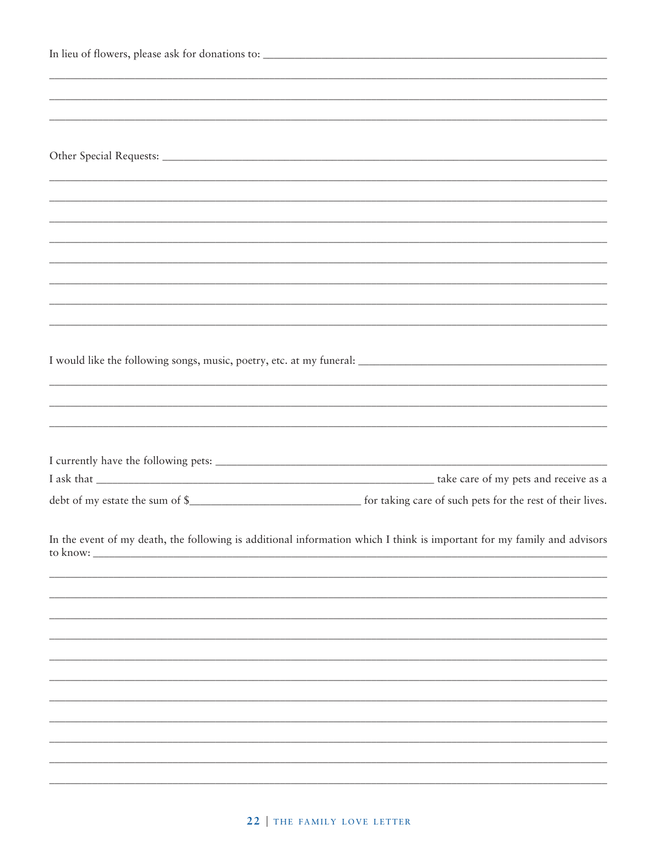| to know: _ | In the event of my death, the following is additional information which I think is important for my family and advisors |
|------------|-------------------------------------------------------------------------------------------------------------------------|
|            |                                                                                                                         |
|            |                                                                                                                         |
|            |                                                                                                                         |
|            |                                                                                                                         |
|            |                                                                                                                         |
|            |                                                                                                                         |
|            |                                                                                                                         |
|            |                                                                                                                         |
|            |                                                                                                                         |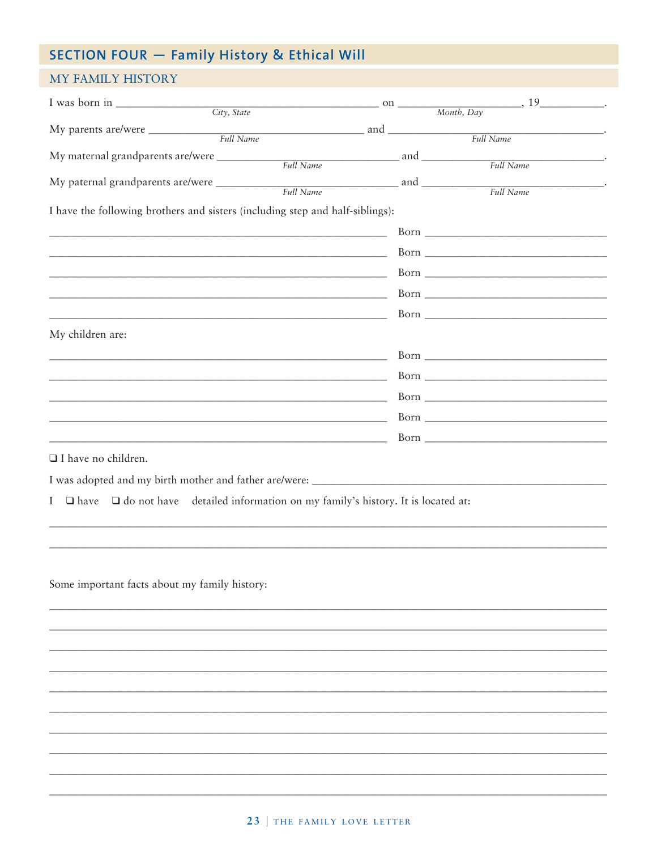# SECTION FOUR - Family History & Ethical Will

#### MY FAMILY HISTORY

| I was born in $\frac{City}{ity\cdot State}$ on $\frac{Month, Day}{Month, Day}$ , 19                                    |  |           |
|------------------------------------------------------------------------------------------------------------------------|--|-----------|
|                                                                                                                        |  |           |
|                                                                                                                        |  |           |
| My maternal grandparents are/were _____________                                                                        |  | Full Name |
|                                                                                                                        |  |           |
|                                                                                                                        |  | Full Name |
| I have the following brothers and sisters (including step and half-siblings):                                          |  |           |
| <u> 2000 - Jan James James James James James James James James James James James James James James James James J</u>   |  |           |
|                                                                                                                        |  |           |
|                                                                                                                        |  |           |
| <u> 1989 - Johann Barn, mars ann an t-Amhain ann an t-Amhain ann an t-Amhain ann an t-Amhain an t-Amhain an t-A</u>    |  |           |
|                                                                                                                        |  |           |
| My children are:                                                                                                       |  |           |
| <u> 1980 - Jan James James Barnett, fransk politik (d. 1980)</u>                                                       |  |           |
|                                                                                                                        |  |           |
| <u> 1989 - Johann Barn, mars ann an t-Amhain ann an t-Amhain ann an t-Amhain ann an t-Amhain an t-Amhain ann an t-</u> |  |           |
|                                                                                                                        |  |           |
|                                                                                                                        |  |           |
|                                                                                                                        |  |           |
| □ I have no children.                                                                                                  |  |           |
|                                                                                                                        |  |           |
| $I \square$ have<br>$\Box$ do not have detailed information on my family's history. It is located at:                  |  |           |
|                                                                                                                        |  |           |
|                                                                                                                        |  |           |
|                                                                                                                        |  |           |
| Some important facts about my family history:                                                                          |  |           |
|                                                                                                                        |  |           |
|                                                                                                                        |  |           |
|                                                                                                                        |  |           |
|                                                                                                                        |  |           |
|                                                                                                                        |  |           |
|                                                                                                                        |  |           |
|                                                                                                                        |  |           |
|                                                                                                                        |  |           |
|                                                                                                                        |  |           |
|                                                                                                                        |  |           |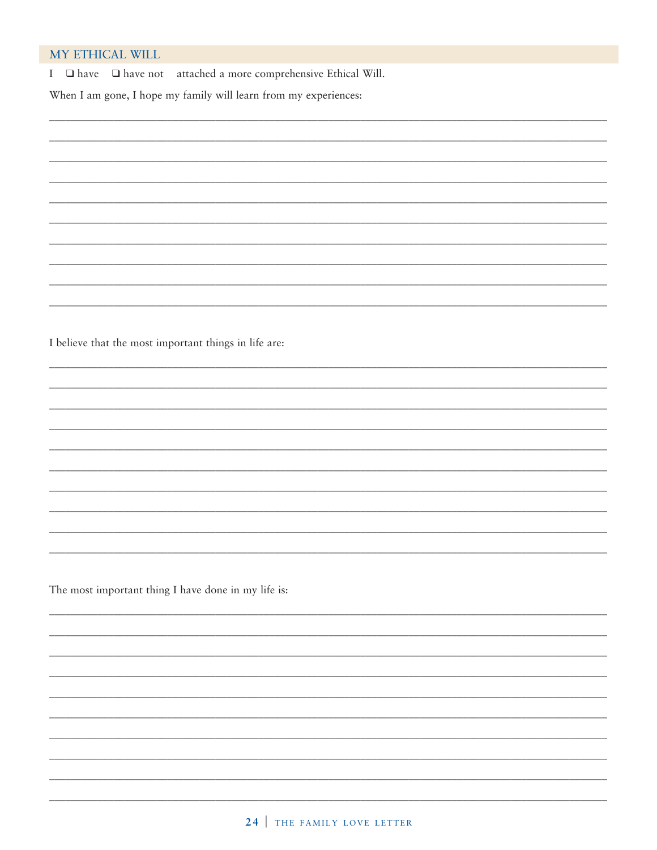#### MY ETHICAL WILL

I  $\Box$  have  $\Box$  have not attached a more comprehensive Ethical Will.

When I am gone, I hope my family will learn from my experiences:

I believe that the most important things in life are:

The most important thing I have done in my life is: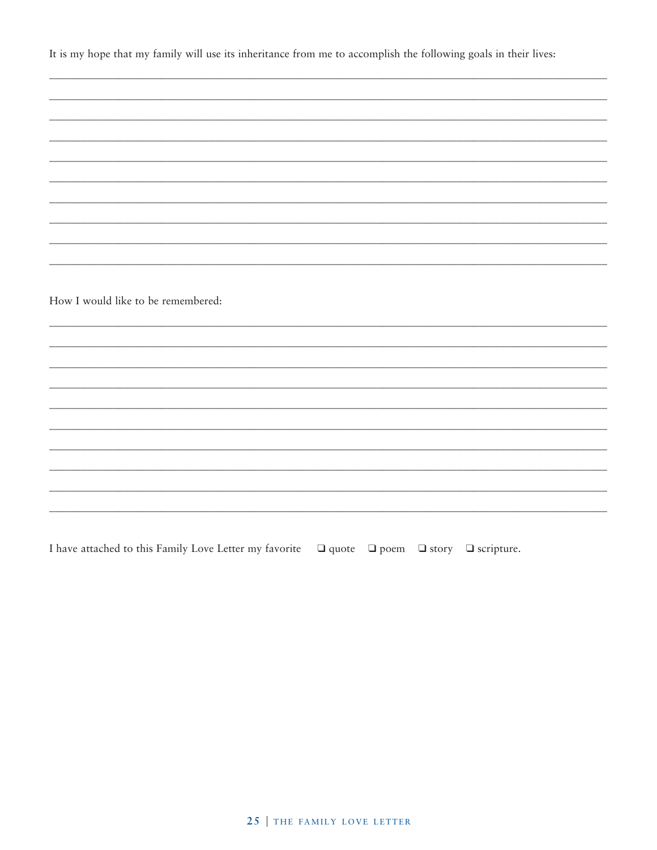It is my hope that my family will use its inheritance from me to accomplish the following goals in their lives:

| How I would like to be remembered: |  |  |
|------------------------------------|--|--|
|                                    |  |  |
|                                    |  |  |
|                                    |  |  |
|                                    |  |  |
|                                    |  |  |
|                                    |  |  |
|                                    |  |  |
|                                    |  |  |
|                                    |  |  |
|                                    |  |  |
|                                    |  |  |
|                                    |  |  |
|                                    |  |  |
|                                    |  |  |
|                                    |  |  |
|                                    |  |  |
|                                    |  |  |
|                                    |  |  |
|                                    |  |  |
|                                    |  |  |
|                                    |  |  |
|                                    |  |  |
|                                    |  |  |
|                                    |  |  |
|                                    |  |  |
|                                    |  |  |
|                                    |  |  |
|                                    |  |  |

I have attached to this Family Love Letter my favorite  $\Box$  quote  $\Box$  poem  $\Box$  story  $\Box$  scripture.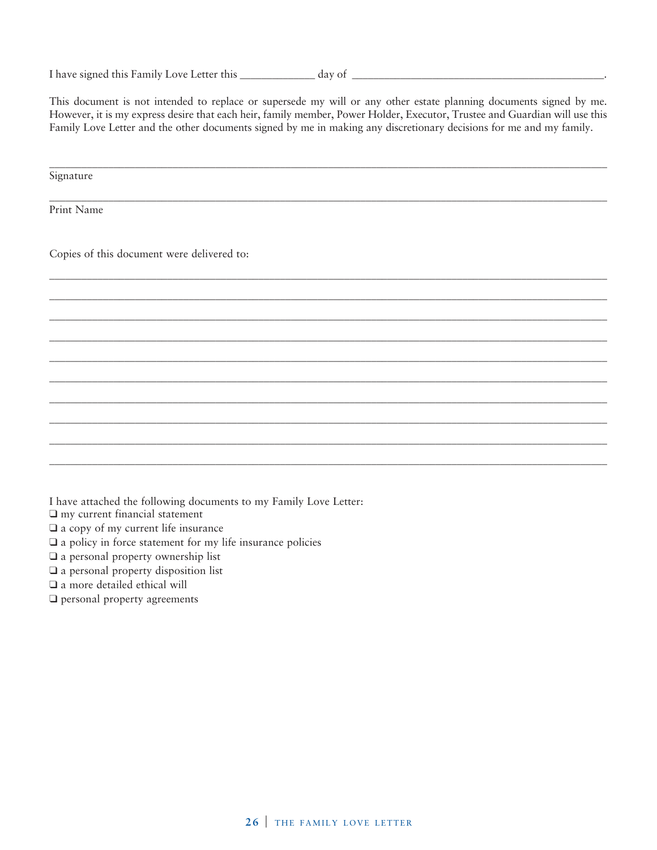| I have signed this Family Love Letter this | day of |  |
|--------------------------------------------|--------|--|
|                                            |        |  |

This document is not intended to replace or supersede my will or any other estate planning documents signed by me. However, it is my express desire that each heir, family member, Power Holder, Executor, Trustee and Guardian will use this Family Love Letter and the other documents signed by me in making any discretionary decisions for me and my family.

\_\_\_\_\_\_\_\_\_\_\_\_\_\_\_\_\_\_\_\_\_\_\_\_\_\_\_\_\_\_\_\_\_\_\_\_\_\_\_\_\_\_\_\_\_\_\_\_\_\_\_\_\_\_\_\_\_\_\_\_\_\_\_\_\_\_\_\_\_\_\_\_\_\_\_\_\_\_\_\_\_\_\_\_\_\_\_\_\_\_\_\_\_\_\_\_\_\_\_\_\_\_\_\_

\_\_\_\_\_\_\_\_\_\_\_\_\_\_\_\_\_\_\_\_\_\_\_\_\_\_\_\_\_\_\_\_\_\_\_\_\_\_\_\_\_\_\_\_\_\_\_\_\_\_\_\_\_\_\_\_\_\_\_\_\_\_\_\_\_\_\_\_\_\_\_\_\_\_\_\_\_\_\_\_\_\_\_\_\_\_\_\_\_\_\_\_\_\_\_\_\_\_\_\_\_\_\_\_

\_\_\_\_\_\_\_\_\_\_\_\_\_\_\_\_\_\_\_\_\_\_\_\_\_\_\_\_\_\_\_\_\_\_\_\_\_\_\_\_\_\_\_\_\_\_\_\_\_\_\_\_\_\_\_\_\_\_\_\_\_\_\_\_\_\_\_\_\_\_\_\_\_\_\_\_\_\_\_\_\_\_\_\_\_\_\_\_\_\_\_\_\_\_\_\_\_\_\_\_\_\_\_\_ \_\_\_\_\_\_\_\_\_\_\_\_\_\_\_\_\_\_\_\_\_\_\_\_\_\_\_\_\_\_\_\_\_\_\_\_\_\_\_\_\_\_\_\_\_\_\_\_\_\_\_\_\_\_\_\_\_\_\_\_\_\_\_\_\_\_\_\_\_\_\_\_\_\_\_\_\_\_\_\_\_\_\_\_\_\_\_\_\_\_\_\_\_\_\_\_\_\_\_\_\_\_\_\_ \_\_\_\_\_\_\_\_\_\_\_\_\_\_\_\_\_\_\_\_\_\_\_\_\_\_\_\_\_\_\_\_\_\_\_\_\_\_\_\_\_\_\_\_\_\_\_\_\_\_\_\_\_\_\_\_\_\_\_\_\_\_\_\_\_\_\_\_\_\_\_\_\_\_\_\_\_\_\_\_\_\_\_\_\_\_\_\_\_\_\_\_\_\_\_\_\_\_\_\_\_\_\_\_ \_\_\_\_\_\_\_\_\_\_\_\_\_\_\_\_\_\_\_\_\_\_\_\_\_\_\_\_\_\_\_\_\_\_\_\_\_\_\_\_\_\_\_\_\_\_\_\_\_\_\_\_\_\_\_\_\_\_\_\_\_\_\_\_\_\_\_\_\_\_\_\_\_\_\_\_\_\_\_\_\_\_\_\_\_\_\_\_\_\_\_\_\_\_\_\_\_\_\_\_\_\_\_\_ \_\_\_\_\_\_\_\_\_\_\_\_\_\_\_\_\_\_\_\_\_\_\_\_\_\_\_\_\_\_\_\_\_\_\_\_\_\_\_\_\_\_\_\_\_\_\_\_\_\_\_\_\_\_\_\_\_\_\_\_\_\_\_\_\_\_\_\_\_\_\_\_\_\_\_\_\_\_\_\_\_\_\_\_\_\_\_\_\_\_\_\_\_\_\_\_\_\_\_\_\_\_\_\_ \_\_\_\_\_\_\_\_\_\_\_\_\_\_\_\_\_\_\_\_\_\_\_\_\_\_\_\_\_\_\_\_\_\_\_\_\_\_\_\_\_\_\_\_\_\_\_\_\_\_\_\_\_\_\_\_\_\_\_\_\_\_\_\_\_\_\_\_\_\_\_\_\_\_\_\_\_\_\_\_\_\_\_\_\_\_\_\_\_\_\_\_\_\_\_\_\_\_\_\_\_\_\_\_ \_\_\_\_\_\_\_\_\_\_\_\_\_\_\_\_\_\_\_\_\_\_\_\_\_\_\_\_\_\_\_\_\_\_\_\_\_\_\_\_\_\_\_\_\_\_\_\_\_\_\_\_\_\_\_\_\_\_\_\_\_\_\_\_\_\_\_\_\_\_\_\_\_\_\_\_\_\_\_\_\_\_\_\_\_\_\_\_\_\_\_\_\_\_\_\_\_\_\_\_\_\_\_\_ \_\_\_\_\_\_\_\_\_\_\_\_\_\_\_\_\_\_\_\_\_\_\_\_\_\_\_\_\_\_\_\_\_\_\_\_\_\_\_\_\_\_\_\_\_\_\_\_\_\_\_\_\_\_\_\_\_\_\_\_\_\_\_\_\_\_\_\_\_\_\_\_\_\_\_\_\_\_\_\_\_\_\_\_\_\_\_\_\_\_\_\_\_\_\_\_\_\_\_\_\_\_\_\_ \_\_\_\_\_\_\_\_\_\_\_\_\_\_\_\_\_\_\_\_\_\_\_\_\_\_\_\_\_\_\_\_\_\_\_\_\_\_\_\_\_\_\_\_\_\_\_\_\_\_\_\_\_\_\_\_\_\_\_\_\_\_\_\_\_\_\_\_\_\_\_\_\_\_\_\_\_\_\_\_\_\_\_\_\_\_\_\_\_\_\_\_\_\_\_\_\_\_\_\_\_\_\_\_ \_\_\_\_\_\_\_\_\_\_\_\_\_\_\_\_\_\_\_\_\_\_\_\_\_\_\_\_\_\_\_\_\_\_\_\_\_\_\_\_\_\_\_\_\_\_\_\_\_\_\_\_\_\_\_\_\_\_\_\_\_\_\_\_\_\_\_\_\_\_\_\_\_\_\_\_\_\_\_\_\_\_\_\_\_\_\_\_\_\_\_\_\_\_\_\_\_\_\_\_\_\_\_\_

Signature

Print Name

Copies of this document were delivered to:

I have attached the following documents to my Family Love Letter:

❑ my current financial statement

❑ a copy of my current life insurance

❑ a policy in force statement for my life insurance policies

❑ a personal property ownership list

❑ a personal property disposition list

❑ a more detailed ethical will

❑ personal property agreements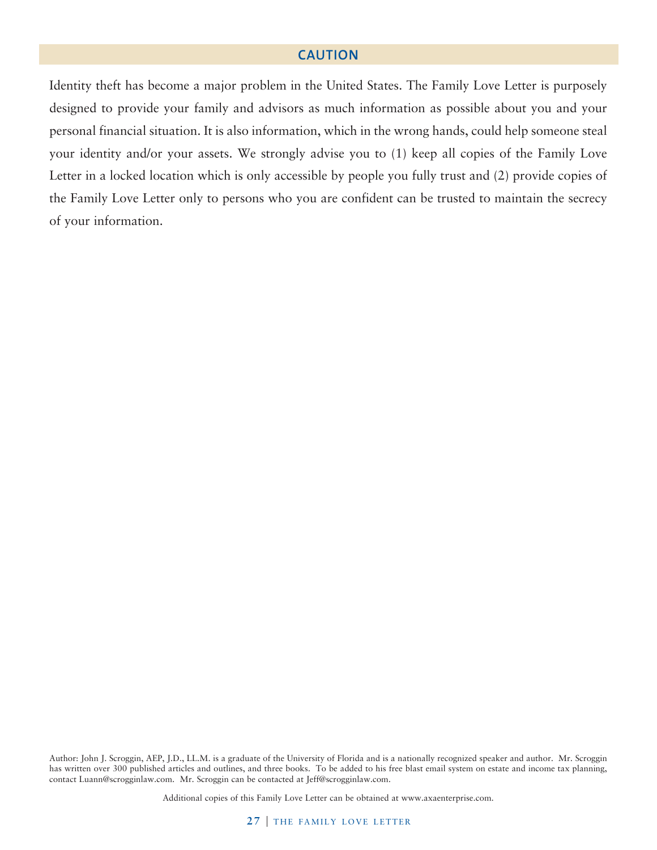#### **CAUTION**

Identity theft has become a major problem in the United States. The Family Love Letter is purposely designed to provide your family and advisors as much information as possible about you and your personal financial situation. It is also information, which in the wrong hands, could help someone steal your identity and/or your assets. We strongly advise you to (1) keep all copies of the Family Love Letter in a locked location which is only accessible by people you fully trust and (2) provide copies of the Family Love Letter only to persons who you are confident can be trusted to maintain the secrecy of your information.

Author: John J. Scroggin, AEP, J.D., LL.M. is a graduate of the University of Florida and is a nationally recognized speaker and author. Mr. Scroggin has written over 300 published articles and outlines, and three books. To be added to his free blast email system on estate and income tax planning, contact Luann@scrogginlaw.com. Mr. Scroggin can be contacted at Jeff@scrogginlaw.com.

Additional copies of this Family Love Letter can be obtained at www.axaenterprise.com.